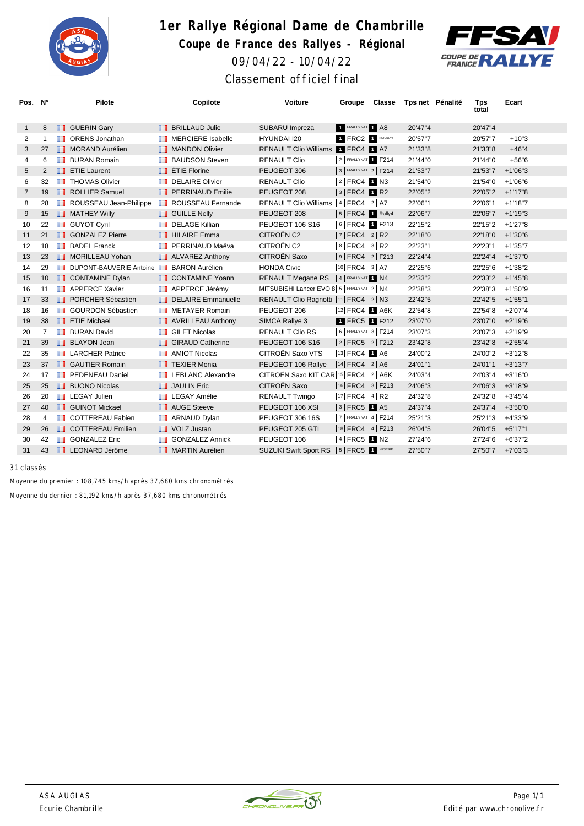

## **1er Rallye Régional Dame de Chambrille Coupe de France des Rallyes - Régional** 09/04/22 - 10/04/22 Classement officiel final



| Pos. N°        |                | <b>Pilote</b>                               | Copilote                    | Voiture                                      | Groupe                            | Classe | Tps net Pénalité | <b>Tps</b><br>total | Ecart      |
|----------------|----------------|---------------------------------------------|-----------------------------|----------------------------------------------|-----------------------------------|--------|------------------|---------------------|------------|
| $\mathbf{1}$   | 8              | <b>B</b> GUERIN Gary                        | <b>BRILLAUD Julie</b>       | SUBARU Impreza                               | FRALLYNAT 1 A8                    |        | 20'47"4          | 20'47"4             |            |
| 2              | $\mathbf{1}$   | <b>ORENS</b> Jonathan<br>ш                  | <b>I</b> MERCIERE Isabelle  | HYUNDAI I20                                  | 1 FRC2 1 RS/RALLYZ                |        | 20'57"7          | 20'57"7             | $+10"3$    |
| 3              | 27             | <b>NORAND Aurélien</b>                      | <b>NANDON Olivier</b>       | <b>RENAULT Clio Williams</b>                 | <b>1 FRC4 1 A7</b>                |        | 21'33"8          | 21'33"8             | $+46"4$    |
| 4              | 6              | <b>BURAN Romain</b>                         | <b>BAUDSON Steven</b>       | <b>RENAULT Clio</b>                          | 2 FRALLYNAT 1 F214                |        | 21'44"0          | 21'44"0             | $+56"6$    |
| 5              | 2              | <b>TE</b> ETIE Laurent                      | $\blacksquare$ ETIE Florine | PEUGEOT 306                                  | 3   FRALLYNAT 2   F214            |        | 21'53"7          | 21'53"7             | $+1'06"3$  |
| 6              | 32             | <b>THOMAS Olivier</b><br>ш                  | DELAIRE Olivier             | <b>RENAULT Clio</b>                          | $ 2 $ FRC4 1 N3                   |        | 21'54"0          | 21'54"0             | $+1'06''6$ |
| $\overline{7}$ | 19             | ROLLIER Samuel                              | <b>PERRINAUD Emilie</b>     | PEUGEOT 208                                  | $ 3 $ FRC4 <b>1</b> R2            |        | 22'05"2          | 22'05"2             | $+1'17''8$ |
| 8              | 28             | ROUSSEAU Jean-Philippe                      | <b>ROUSSEAU Fernande</b>    | <b>RENAULT Clio Williams</b>                 | $ 4 $ FRC4 $ 2 $ A7               |        | 22'06"1          | 22'06"1             | $+1'18"7$  |
| 9              | 15             | <b>NATHEY Willy</b>                         | <b>B</b> GUILLE Nelly       | PEUGEOT 208                                  | $ 5 $ FRC4 1 Rally4               |        | 22'06"7          | 22'06"7             | $+1'19''3$ |
| 10             | 22             | <b>B</b> GUYOT Cyril                        | <b>DELAGE Killian</b>       | PEUGEOT 106 S16                              | 6 FRC4 1 F213                     |        | 22'15"2          | 22'15"2             | $+1'27"8$  |
| 11             | 21             | <b>SONZALEZ Pierre</b>                      | <b>THILAIRE Emma</b>        | CITROËN C2                                   | $ 7 $ FRC4 $ 2 $ R2               |        | 22'18"0          | 22'18"0             | $+1'30''6$ |
| 12             | 18             | <b>BADEL Franck</b>                         | <b>PERRINAUD Maëva</b>      | CITROËN C2                                   | $ 8 $ FRC4 $ 3 $ R2               |        | 22'23"1          | 22'23"1             | $+1'35"7$  |
| 13             | 23             | MORILLEAU Yohan                             | ALVAREZ Anthony             | CITROËN Saxo                                 | 9   FRC4   2   F213               |        | 22'24"4          | 22'24"4             | $+1'37"0$  |
| 14             | 29             | DUPONT-BAUVERIE Antoine BARON Aurélien<br>ш |                             | <b>HONDA Civic</b>                           | 10 FRC4   3   A7                  |        | 22'25"6          | 22'25"6             | $+1'38"2$  |
| 15             | 10             | <b>CONTAMINE Dylan</b>                      | <b>CONTAMINE Yoann</b>      | RENAULT Megane RS                            | 4 FRALLYNAT 1 N4                  |        | 22'33"2          | 22'33"2             | $+1'45''8$ |
| 16             | 11             | <b>APPERCE Xavier</b>                       | <b>APPERCE Jérémy</b>       | MITSUBISHI Lancer EVO 8 5   FRALLYNAT 2   N4 |                                   |        | 22'38"3          | 22'38"3             | $+1'50''9$ |
| 17             | 33             | <b>I</b> PORCHER Sébastien                  | DELAIRE Emmanuelle          | RENAULT Clio Ragnotti  11   FRC4   2   N3    |                                   |        | 22'42"5          | 22'42"5             | $+1'55"1$  |
| 18             | 16             | <b>GOURDON Sébastien</b><br>ш               | METAYER Romain              | PEUGEOT 206                                  | 12 FRC4 1 A6K                     |        | 22'54"8          | 22'54"8             | $+2'07''4$ |
| 19             | 38             | <b>FILE</b> Michael                         | AVRILLEAU Anthony           | SIMCA Rallye 3                               | 1 FRC5 1 F212                     |        | 23'07"0          | 23'07"0             | $+2'19''6$ |
| 20             | $\overline{7}$ | <b>BURAN David</b>                          | <b>B</b> GILET Nicolas      | <b>RENAULT Clio RS</b>                       | 6   FRALLYNAT 3   F214            |        | 23'07"3          | 23'07"3             | $+2'19''9$ |
| 21             | 39             | <b>BLAYON Jean</b>                          | <b>GIRAUD Catherine</b>     | PEUGEOT 106 S16                              | 2   FRC5   2   F212               |        | 23'42"8          | 23'42"8             | $+2'55''4$ |
| 22             | 35             | <b>LARCHER Patrice</b>                      | <b>AMIOT Nicolas</b>        | CITROËN Saxo VTS                             | 13 FRC4 1 A6                      |        | 24'00"2          | 24'00"2             | $+3'12"8$  |
| 23             | 37             | <b>B</b> GAUTIER Romain                     | <b>TEXIER Monia</b>         | PEUGEOT 106 Rallye                           | $ 14 $ FRC4 $ 2 A6$               |        | 24'01"1          | 24'01"1             | $+3'13''7$ |
| 24             | 17             | <b>F</b> PEDENEAU Daniel                    | <b>LEBLANC Alexandre</b>    | CITROËN Saxo KIT CAR 15 FRC4   2   A6K       |                                   |        | 24'03"4          | 24'03"4             | $+3'16''0$ |
| 25             | 25             | <b>BUONO Nicolas</b>                        | <b>JAULIN Eric</b>          | CITROËN Saxo                                 | 16 FRC4 3 F213                    |        | 24'06"3          | 24'06"3             | $+3'18''9$ |
| 26             | 20             | <b>LEGAY Julien</b><br>ш                    | <b>LEGAY Amélie</b>         | <b>RENAULT Twingo</b>                        | $ 17 $ FRC4 $ 4 $ R2              |        | 24'32"8          | 24'32"8             | $+3'45''4$ |
| 27             | 40             | <b>B</b> GUINOT Mickael                     | <b>NOGE</b> Steeve          | PEUGEOT 106 XSI                              | $ 3 $ FRC5 $\blacksquare$ A5      |        | 24'37"4          | 24'37"4             | $+3'50"0$  |
| 28             | 4              | <b>T</b> COTTEREAU Fabien                   | <b>ARNAUD Dylan</b>         | PEUGEOT 306 16S                              | $ 7 $ FRALLYNAT 4   F214          |        | 25'21"3          | 25'21"3             | $+4'33''9$ |
| 29             | 26             | <b>COTTEREAU Emilien</b>                    | <b>N</b> VOLZ Justan        | PEUGEOT 205 GTI                              | 18   FRC4   4   F213              |        | 26'04"5          | 26'04"5             | $+5'17"1$  |
| 30             | 42             | <b>GONZALEZ Eric</b><br>ш                   | <b>GONZALEZ Annick</b>      | PEUGEOT 106                                  | $ 4 $ FRC5 $\blacksquare$ N2      |        | 27'24"6          | 27'24"6             | $+6'37"2$  |
| 31             | 43             | <b>LEONARD Jérôme</b>                       | MARTIN Aurélien             | SUZUKI Swift Sport RS                        | $ 5 $ FRC5 $\blacksquare$ N2SÉRIE |        | 27'50"7          | 27'50"7             | $+7'03''3$ |

*31 classés*

Moyenne du premier : 108,745 kms/h après 37,680 kms chronométrés

Moyenne du dernier : 81,192 kms/h après 37,680 kms chronométrés

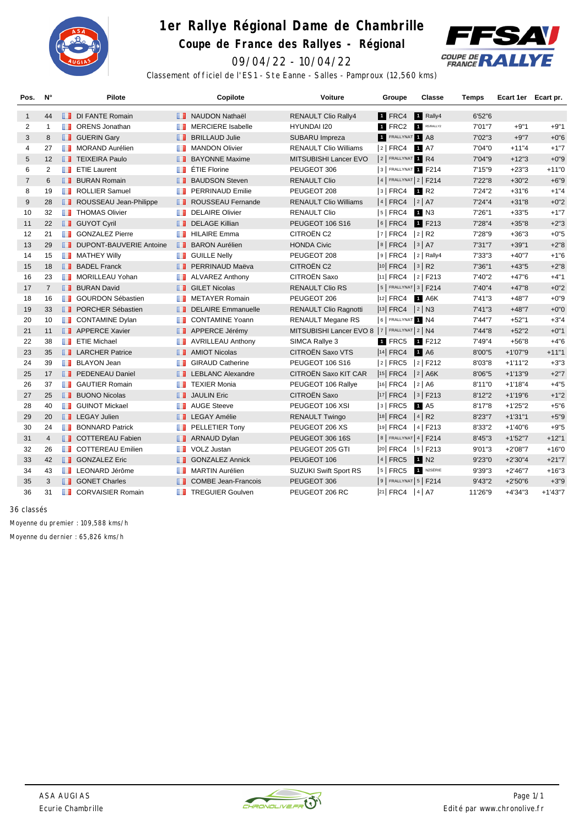

## **1er Rallye Régional Dame de Chambrille Coupe de France des Rallyes - Régional**





Classement officiel de l'ES1 - Ste Eanne - Salles - Pamproux (12,560 kms)

| Pos.           | N°             | <b>Pilote</b>                             | Copilote                         | Voiture                                          | Groupe                     | Classe               | Temps   | Ecart 1er Ecart pr. |            |
|----------------|----------------|-------------------------------------------|----------------------------------|--------------------------------------------------|----------------------------|----------------------|---------|---------------------|------------|
| $\mathbf{1}$   | 44             | DI FANTE Romain                           | <b>NAUDON Nathaël</b>            | <b>RENAULT Clio Rally4</b>                       | 1 FRC4                     | <b>1</b> Rally4      | 6'52"6  |                     |            |
| 2              | $\overline{1}$ | <b>T</b> ORENS Jonathan                   | <b>MERCIERE</b> Isabelle<br>w    | <b>HYUNDAI I20</b>                               | 1 FRC2                     | R5/RALLY2            | 7'01"7  | $+9"1$              | $+9"1$     |
| 3              | 8              | <b>B</b> GUERIN Gary                      | <b>BRILLAUD Julie</b>            | SUBARU Impreza                                   | 1 FRALLYNAT 1 A8           |                      | 7'02"3  | $+9"7$              | $+0"6$     |
| 4              | 27             | <b>NORAND Aurélien</b>                    | <b>MANDON Olivier</b><br>ш       | <b>RENAULT Clio Williams</b>                     | $ 2 $ FRC4                 | 1 A7                 | 7'04"0  | $+11"4$             | $+1"7$     |
| 5              | 12             | <b>TEIXEIRA Paulo</b>                     | <b>BAYONNE Maxime</b>            | MITSUBISHI Lancer EVO                            | 2 FRALLYNAT 1 R4           |                      | 7'04"9  | $+12"3$             | $+0"9$     |
| 6              | $\overline{2}$ | <b>FE</b> ETIE Laurent                    | ÉTIE Florine<br>u                | PEUGEOT 306                                      | 3 FRALLYNAT 1 F214         |                      | 7'15"9  | $+23"3$             | $+11"0$    |
| $\overline{7}$ | 6              | <b>BURAN Romain</b>                       | <b>BAUDSON Steven</b>            | <b>RENAULT Clio</b>                              | $ 4 $ FRALLYNAT $ 2 $ F214 |                      | 7'22"8  | $+30"2$             | $+6"9$     |
| 8              | 19             | <b>ROLLIER Samuel</b>                     | <b>PERRINAUD Emilie</b><br>ш     | PEUGEOT 208                                      | $3$ FRC4                   | $\blacksquare$ R2    | 7'24"2  | $+31"6$             | $+1"4$     |
| 9              | 28             | ROUSSEAU Jean-Philippe                    | <b>NET ROUSSEAU Fernande</b>     | <b>RENAULT Clio Williams</b>                     | $ 4 $ FRC4                 | 2 A7                 | 7'24''4 | $+31"8$             | $+0"2$     |
| 10             | 32             | <b>THOMAS Olivier</b>                     | <b>DELAIRE Olivier</b><br>ш      | <b>RENAULT Clio</b>                              | $5$ FRC4                   | 1 N3                 | 7'26"1  | $+33"5$             | $+1"7$     |
| 11             | 22             | <b>B</b> GUYOT Cyril                      | <b>DELAGE Killian</b><br>п.      | <b>PEUGEOT 106 S16</b>                           | $ 6 $ FRC4                 | 1 F213               | 7'28"4  | $+35"8$             | $+2"3$     |
| 12             | 21             | <b>SONZALEZ Pierre</b>                    | <b>HILAIRE Emma</b><br>ш         | CITROËN C2                                       | $ 7 $ FRC4                 | $ 2 $ R <sub>2</sub> | 7'28"9  | $+36"3$             | $+0"5$     |
| 13             | 29             | DUPONT-BAUVERIE Antoine                   | H.<br><b>BARON Aurélien</b>      | <b>HONDA Civic</b>                               | $ 8 $ FRC4                 | 3 A7                 | 7'31"7  | $+39"1$             | $+2"8$     |
| 14             | 15             | <b>NATHEY Willy</b>                       | <b>GUILLE Nelly</b><br>ш         | PEUGEOT 208                                      | $ 9 $ FRC4                 | $ 2 $ Rally4         | 7'33"3  | $+40"7$             | $+1"6$     |
| 15             | 18             | <b>BADEL Franck</b>                       | <b>FRERRINAUD Maëva</b>          | CITROËN C2                                       | $ 10 $ FRC4                | 3 R2                 | 7'36"1  | $+43"5$             | $+2"8$     |
| 16             | 23             | MORILLEAU Yohan                           | <b>ALVAREZ Anthony</b><br>ш      | CITROËN Saxo                                     | 11 FRC4                    | $ 2 $ F213           | 7'40"2  | $+47"6$             | $+4"1$     |
| 17             | $\overline{7}$ | <b>BURAN David</b>                        | <b>B</b> GILET Nicolas           | <b>RENAULT Clio RS</b>                           | $ 5 $ FRALLYNAT $ 3 $ F214 |                      | 7'40"4  | $+47"8$             | $+0"2$     |
| 18             | 16             | <b>B</b> GOURDON Sébastien                | <b>METAYER Romain</b><br>ш       | PEUGEOT 206                                      | <sup>12</sup> FRC4         | 1 A6K                | 7'41''3 | $+48"7$             | $+0"9$     |
| 19             | 33             | <b>FEX</b> PORCHER Sébastien              | DELAIRE Emmanuelle               | <b>RENAULT Clio Ragnotti</b>                     | 13 FRC4                    | $ 2 $ N3             | 7'41''3 | $+48"7$             | $+0"0$     |
| 20             | 10             | <b>CONTAMINE Dylan</b>                    | <b>CONTAMINE Yoann</b><br>ш      | <b>RENAULT Megane RS</b>                         | 6 FRALLYNAT 1 N4           |                      | 7'44"7  | $+52"1$             | $+3"4$     |
| 21             | 11             | <b>APPERCE Xavier</b>                     | <b>APPERCE Jérémy</b>            | MITSUBISHI Lancer EVO 8   7   FRALLYNAT   2   N4 |                            |                      | 7'44"8  | $+52"2$             | $+0"1$     |
| 22             | 38             | <b>FE</b> ETIE Michael                    | <b>AVRILLEAU Anthony</b><br>w    | SIMCA Rallye 3                                   | 1 FRC5                     | 1 F212               | 7'49"4  | $+56"8$             | $+4"6$     |
| 23             | 35             | <b>I</b> LARCHER Patrice                  | <b>AMIOT Nicolas</b>             | CITROËN Saxo VTS                                 | <sup>14</sup> FRC4         | <b>1</b> A6          | 8'00"5  | $+1'07"9$           | $+11"1$    |
| 24             | 39             | <b>BLAYON Jean</b>                        | <b>GIRAUD Catherine</b><br>ш     | <b>PEUGEOT 106 S16</b>                           | $ 2 $ FRC5                 | $ 2 $ F212           | 8'03"8  | $+1'11''2$          | $+3"3$     |
| 25             | 17             | <b>F</b> PEDENEAU Daniel                  | <b>EXECUTE LEBLANC Alexandre</b> | CITROËN Saxo KIT CAR                             | $ 15 $ FRC4                | $ 2 $ A6K            | 8'06"5  | $+1'13''9$          | $+2"7$     |
| 26             | 37             | <b>B</b> GAUTIER Romain                   | <b>TEXIER Monia</b><br>ш         | PEUGEOT 106 Rallye                               | $ 16 $ FRC4                | 2 A6                 | 8'11"0  | $+1'18''4$          | $+4"5$     |
| 27             | 25             | <b>BUONO Nicolas</b>                      | <b>JAULIN Eric</b>               | <b>CITROËN Saxo</b>                              | $ 17 $ FRC4                | $ 3 $ F213           | 8'12"2  | $+1'19''6$          | $+1"2$     |
| 28             | 40             | <b>B</b> GUINOT Mickael                   | <b>AUGE Steeve</b><br>ш          | PEUGEOT 106 XSI                                  | $3$ FRC5                   | 1 A <sub>5</sub>     | 8'17"8  | $+1'25''2$          | $+5"6$     |
| 29             | 20             | <b>LEGAY Julien</b>                       | <b>EXP</b> LEGAY Amélie          | <b>RENAULT Twingo</b>                            | $ 18 $ FRC4                | $ 4 $ R <sub>2</sub> | 8'23"7  | $+1'31"1$           | $+5"9$     |
| 30             | 24             | <b>BONNARD Patrick</b>                    | PELLETIER Tony<br>ш              | PEUGEOT 206 XS                                   | 19 FRC4                    | $ 4 $ F213           | 8'33"2  | $+1'40''6$          | $+9"5$     |
| 31             | $\overline{4}$ | COTTEREAU Fabien                          | <b>ARNAUD Dylan</b>              | PEUGEOT 306 16S                                  | 8   FRALLYNAT   4   F214   |                      | 8'45"3  | $+1'52"7$           | $+12"1$    |
| 32             | 26             | <b>COTTEREAU Emilien</b><br><b>The Co</b> | VOLZ Justan<br>ш                 | PEUGEOT 205 GTI                                  | $ 20 $ FRC4                | $ 5 $ F213           | 9'01"3  | $+2'08''7$          | $+16"0$    |
| 33             | 42             | <b>SONZALEZ Eric</b>                      | <b>GONZALEZ Annick</b><br>u.     | PEUGEOT 106                                      | $ 4 $ FRC5                 | 1 N <sub>2</sub>     | 9'23"0  | $+2'30''4$          | $+21"7$    |
| 34             | 43             | LEONARD Jérôme                            | MARTIN Aurélien<br>m             | <b>SUZUKI Swift Sport RS</b>                     | $5$ FRC5                   | N2SÉRIE              | 9'39"3  | $+2'46''7$          | $+16"3$    |
| 35             | 3              | <b>B</b> GONET Charles                    | <b>COMBE Jean-Francois</b><br>п. | PEUGEOT 306                                      | $ 9 $ FRALLYNAT $ 5 $ F214 |                      | 9'43"2  | $+2'50''6$          | $+3"9$     |
| 36             | 31             | <b>THE CORVAISIER Romain</b>              | <b>TREGUIER Goulven</b><br>ш     | PEUGEOT 206 RC                                   | $ 21 $ FRC4                | 4 A7                 | 11'26"9 | +4'34"3             | $+1'43''7$ |

*36 classés*

Moyenne du premier : 109,588 kms/h

Moyenne du dernier : 65,826 kms/h

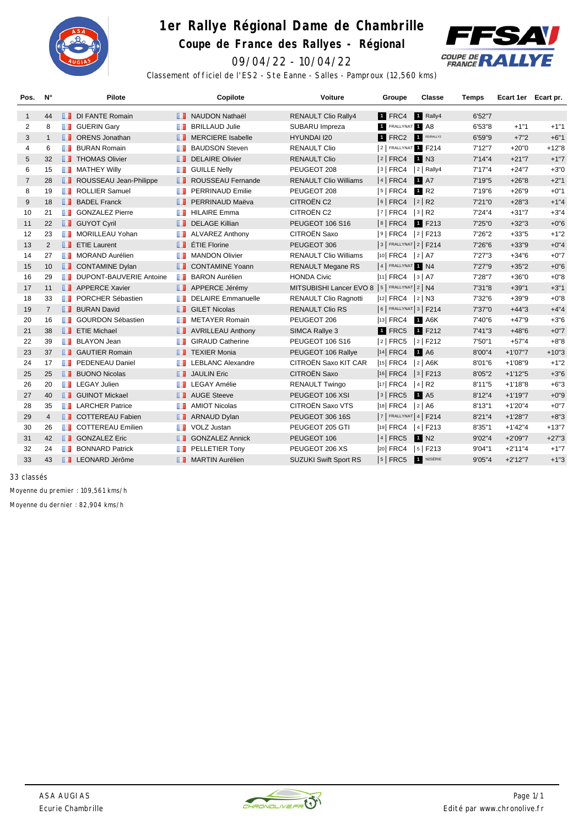

## **1er Rallye Régional Dame de Chambrille**

**Coupe de France des Rallyes - Régional**



09/04/22 - 10/04/22

Classement officiel de l'ES2 - Ste Eanne - Salles - Pamproux (12,560 kms)

| Pos.           | $N^{\circ}$    | Pilote                                  | Copilote                       | Voiture                                        | Groupe                     | Classe               | <b>Temps</b> | Ecart 1er Ecart pr. |         |
|----------------|----------------|-----------------------------------------|--------------------------------|------------------------------------------------|----------------------------|----------------------|--------------|---------------------|---------|
| $\mathbf{1}$   | 44             | <b>DI FANTE Romain</b>                  | <b>NAUDON Nathaël</b>          | <b>RENAULT Clio Rally4</b>                     | <b>T</b> FRC4              | 1 Rally4             | 6'52"7       |                     |         |
| 2              | 8              | <b>B</b> GUERIN Gary                    | <b>BRILLAUD Julie</b><br>m     | SUBARU Impreza                                 | 1 FRALLYNAT 1 A8           |                      | 6'53"8       | $+1"1$              | $+1"1$  |
| 3              | $\mathbf{1}$   | <b>D</b> ORENS Jonathan                 | <b>NERCIERE</b> Isabelle       | <b>HYUNDAI I20</b>                             | 1 FRC2                     | R5/RALLY2            | 6'59"9       | $+7"2$              | $+6"1$  |
| 4              | 6              | <b>BURAN Romain</b><br>a a s            | <b>BAUDSON Steven</b><br>m     | <b>RENAULT Clio</b>                            | 2 FRALLYNAT F214           |                      | 7'12"7       | $+20"0$             | $+12"8$ |
| 5              | 32             | <b>THOMAS Olivier</b>                   | <b>DELAIRE Olivier</b>         | <b>RENAULT Clio</b>                            | $ 2 $ FRC4                 | <b>1</b> N3          | 7'14''4      | $+21"7$             | $+1"7$  |
| 6              | 15             | <b>B</b> MATHEY Willy                   | <b>B</b> GUILLE Nelly          | PEUGEOT 208                                    | $ 3 $ FRC4                 | $ 2 $ Rally4         | 7'17''4      | $+24"7$             | $+3"0$  |
| $\overline{7}$ | 28             | ROUSSEAU Jean-Philippe                  | ROUSSEAU Fernande              | <b>RENAULT Clio Williams</b>                   | $ 4 $ FRC4                 | <b>1</b> A7          | 7'19"5       | $+26"8$             | $+2"1$  |
| 8              | 19             | <b>ROLLIER Samuel</b><br>w              | <b>PERRINAUD Emilie</b><br>w   | PEUGEOT 208                                    | $ 5 $ FRC4                 | 1 R <sub>2</sub>     | 7'19"6       | $+26"9$             | $+0"1$  |
| 9              | 18             | <b>BADEL Franck</b>                     | <b>FRERRINAUD Maëva</b>        | <b>CITROËN C2</b>                              | $ 6 $ FRC4                 | 2 R2                 | 7'21"0       | $+28"3$             | $+1"4$  |
| 10             | 21             | <b>B</b> GONZALEZ Pierre                | <b>HILAIRE Emma</b><br>m       | CITROËN C2                                     | $ 7 $ FRC4                 | $ 3 $ R <sub>2</sub> | 7'24"4       | $+31"7$             | $+3"4$  |
| 11             | 22             | <b>B</b> GUYOT Cyril                    | <b>DELAGE Killian</b>          | PEUGEOT 106 S16                                | $ 8 $ FRC4                 | 1 F213               | 7'25"0       | $+32"3$             | $+0"6$  |
| 12             | 23             | <b>MORILLEAU Yohan</b><br><b>The Co</b> | <b>ALVAREZ Anthony</b><br>ш    | CITROËN Saxo                                   | $ 9 $ FRC4                 | $ 2 $ F213           | 7'26"2       | $+33"5$             | $+1"2$  |
| 13             | 2              | $\blacksquare$ ETIE Laurent             | $\blacksquare$ ÉTIE Florine    | PEUGEOT 306                                    | $ 3 $ FRALLYNAT $ 2 $ F214 |                      | 7'26"6       | $+33"9$             | $+0"4$  |
| 14             | 27             | <b>NORAND Aurélien</b>                  | <b>MANDON Olivier</b><br>ш     | <b>RENAULT Clio Williams</b>                   | $ 10 $ FRC4                | 2 A7                 | 7'27"3       | $+34"6$             | $+0"7$  |
| 15             | 10             | <b>CONTAMINE Dylan</b>                  | <b>CONTAMINE Yoann</b>         | <b>RENAULT Megane RS</b>                       | 4 FRALLYNAT 1 N4           |                      | 7'27"9       | $+35"2$             | $+0"6$  |
| 16             | 29             | DUPONT-BAUVERIE Antoine                 | <b>BARON Aurélien</b>          | <b>HONDA Civic</b>                             | $ 11 $ FRC4 $ 3 $ A7       |                      | 7'28"7       | $+36"0$             | $+0"8$  |
| 17             | 11             | <b>APPERCE Xavier</b>                   | <b>APPERCE Jérémy</b>          | MITSUBISHI Lancer EVO 8   5   FRALLYNAT 2   N4 |                            |                      | 7'31"8       | $+39"1$             | $+3"1$  |
| 18             | 33             | PORCHER Sébastien<br>m                  | <b>DELAIRE Emmanuelle</b><br>m | RENAULT Clio Ragnotti                          | $ 12 $ FRC4                | $ 2 $ N3             | 7'32"6       | $+39"9$             | $+0"8$  |
| 19             | $\overline{7}$ | <b>BURAN David</b>                      | <b>B</b> GILET Nicolas         | <b>RENAULT Clio RS</b>                         | $ 6 $ FRALLYNAT $ 3 $ F214 |                      | 7'37"0       | $+44"3$             | $+4"4$  |
| 20             | 16             | <b>T</b> GOURDON Sébastien              | <b>NETAYER Romain</b>          | PEUGEOT 206                                    | $ 13 $ FRC4                | 1 A6K                | 7'40"6       | $+47"9$             | $+3"6$  |
| 21             | 38             | <b>FILE</b> Michael                     | <b>AVRILLEAU Anthony</b>       | SIMCA Rallye 3                                 | 1 FRC5                     | 1 F212               | 7'41"3       | $+48"6$             | $+0"7$  |
| 22             | 39             | <b>BLAYON</b> Jean                      | <b>GIRAUD Catherine</b><br>ш   | PEUGEOT 106 S16                                | $ 2 $ FRC5                 | $ 2 $ F212           | 7'50"1       | $+57"4$             | $+8"8$  |
| 23             | 37             | <b>B</b> GAUTIER Romain                 | <b>TEXIER Monia</b>            | PEUGEOT 106 Rallye                             | $ 14 $ FRC4                | <b>1</b> A6          | 8'00"4       | $+1'07"7$           | $+10"3$ |
| 24             | 17             | <b>FR</b> PEDENEAU Daniel               | <b>LEBLANC Alexandre</b><br>ш  | CITROËN Saxo KIT CAR                           | $ 15 $ FRC4                | $ 2 $ A6K            | 8'01"6       | $+1'08"9$           | $+1"2$  |
| 25             | 25             | <b>BUONO Nicolas</b>                    | <b>JAULIN Eric</b>             | CITROËN Saxo                                   | $ 16 $ FRC4                | $ 3 $ F213           | 8'05"2       | $+1'12"5$           | $+3"6$  |
| 26             | 20             | <b>T</b> LEGAY Julien                   | <b>LEGAY Amélie</b>            | <b>RENAULT Twingo</b>                          | $ 17 $ FRC4                | $ 4 $ R <sub>2</sub> | 8'11''5      | $+1'18"8$           | $+6"3$  |
| 27             | 40             | <b>B</b> GUINOT Mickael                 | <b>N</b> AUGE Steeve           | PEUGEOT 106 XSI                                | $ 3 $ FRC5                 | 1 A <sub>5</sub>     | 8'12''4      | $+1'19''7$          | $+0"9$  |
| 28             | 35             | <b>T</b> LARCHER Patrice                | <b>AMIOT Nicolas</b><br>m      | CITROËN Saxo VTS                               | $ 18 $ FRC4                | 2 A6                 | 8'13"1       | $+1'20''4$          | $+0"7$  |
| 29             | $\overline{4}$ | <b>I</b> COTTEREAU Fabien               | <b>ARNAUD Dylan</b>            | PEUGEOT 306 16S                                | 7                          | FRALLYNAT 4   F214   | 8'21''4      | $+1'28"7$           | $+8"3$  |
| 30             | 26             | <b>T</b> COTTEREAU Emilien              | <b>T</b> VOLZ Justan           | PEUGEOT 205 GTI                                | $ 19 $ FRC4                | $ 4 $ F213           | 8'35"1       | $+1'42''4$          | $+13"7$ |
| 31             | 42             | <b>SONZALEZ Eric</b>                    | <b>SONZALEZ Annick</b>         | PEUGEOT 106                                    | $ 4 $ FRC5                 | 1 N2                 | 9'02"4       | $+2'09"7$           | $+27"3$ |
| 32             | 24             | <b>BONNARD Patrick</b><br><b>THE</b>    | PELLETIER Tony<br>ш            | PEUGEOT 206 XS                                 | $ 20 $ FRC4                | $ 5 $ F213           | 9'04"1       | $+2'11''4$          | $+1"7$  |
| 33             | 43             | <b>LEONARD Jérôme</b>                   | <b>NARTIN</b> Aurélien         | <b>SUZUKI Swift Sport RS</b>                   | $ 5 $ FRC5                 | N2SÉRIE              | 9'05"4       | $+2'12"7$           | $+1"3$  |

*33 classés*

Moyenne du premier : 109,561 kms/h

Moyenne du dernier : 82,904 kms/h